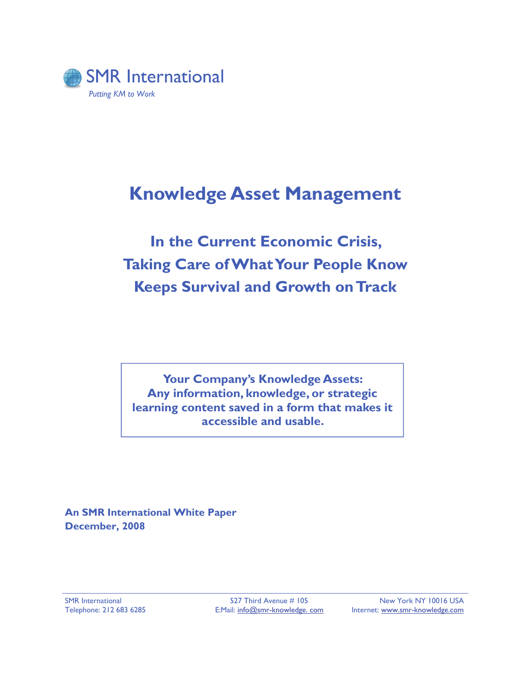

# **Knowledge Asset Management**

# **In the Current Economic Crisis, Taking Care of What Your People Know Keeps Survival and Growth on Track**

**Your Company's Knowledge Assets: Any information, knowledge, or strategic learning content saved in a form that makes it accessible and usable.** 

**An SMR International White Paper December, 2008**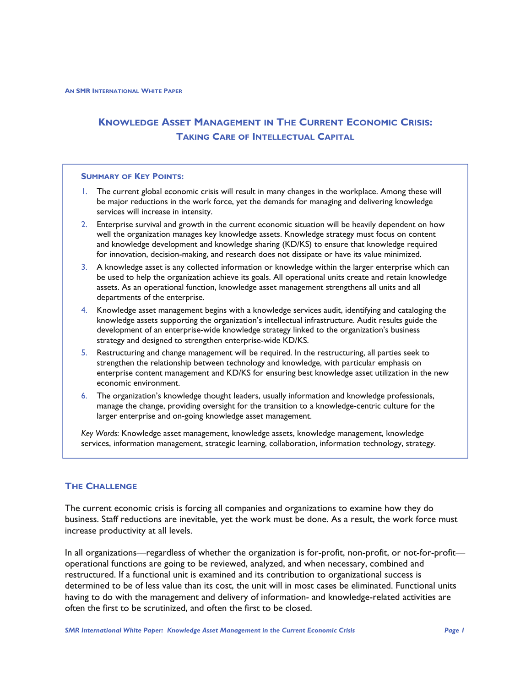# **KNOWLEDGE ASSET MANAGEMENT IN THE CURRENT ECONOMIC CRISIS: TAKING CARE OF INTELLECTUAL CAPITAL**

### **SUMMARY OF KEY POINTS:**

- 1. The current global economic crisis will result in many changes in the workplace. Among these will be major reductions in the work force, yet the demands for managing and delivering knowledge services will increase in intensity.
- 2. Enterprise survival and growth in the current economic situation will be heavily dependent on how well the organization manages key knowledge assets. Knowledge strategy must focus on content and knowledge development and knowledge sharing (KD/KS) to ensure that knowledge required for innovation, decision-making, and research does not dissipate or have its value minimized.
- 3. A knowledge asset is any collected information or knowledge within the larger enterprise which can be used to help the organization achieve its goals. All operational units create and retain knowledge assets. As an operational function, knowledge asset management strengthens all units and all departments of the enterprise.
- 4. Knowledge asset management begins with a knowledge services audit, identifying and cataloging the knowledge assets supporting the organization's intellectual infrastructure. Audit results guide the development of an enterprise-wide knowledge strategy linked to the organization's business strategy and designed to strengthen enterprise-wide KD/KS.
- 5. Restructuring and change management will be required. In the restructuring, all parties seek to strengthen the relationship between technology and knowledge, with particular emphasis on enterprise content management and KD/KS for ensuring best knowledge asset utilization in the new economic environment.
- 6. The organization's knowledge thought leaders, usually information and knowledge professionals, manage the change, providing oversight for the transition to a knowledge-centric culture for the larger enterprise and on-going knowledge asset management.

*Key Words*: Knowledge asset management, knowledge assets, knowledge management, knowledge services, information management, strategic learning, collaboration, information technology, strategy.

# **THE CHALLENGE**

The current economic crisis is forcing all companies and organizations to examine how they do business. Staff reductions are inevitable, yet the work must be done. As a result, the work force must increase productivity at all levels.

In all organizations—regardless of whether the organization is for-profit, non-profit, or not-for-profit operational functions are going to be reviewed, analyzed, and when necessary, combined and restructured. If a functional unit is examined and its contribution to organizational success is determined to be of less value than its cost, the unit will in most cases be eliminated. Functional units having to do with the management and delivery of information- and knowledge-related activities are often the first to be scrutinized, and often the first to be closed.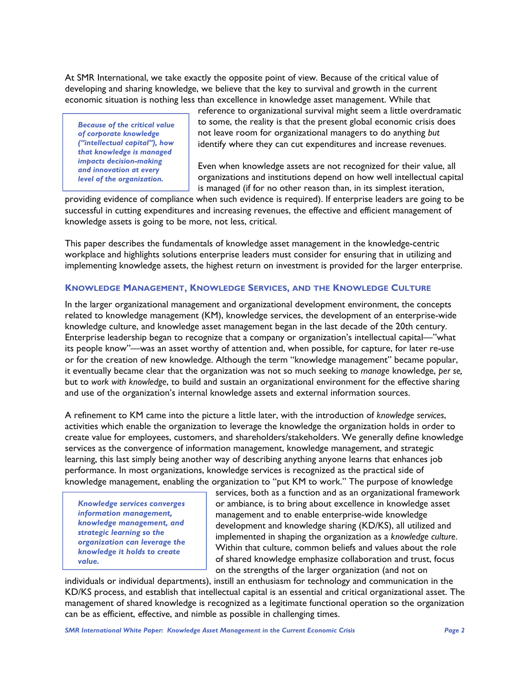At SMR International, we take exactly the opposite point of view. Because of the critical value of developing and sharing knowledge, we believe that the key to survival and growth in the current economic situation is nothing less than excellence in knowledge asset management. While that

*Because of the critical value of corporate knowledge ("intellectual capital"), how that knowledge is managed impacts decision-making and innovation at every level of the organization.*

reference to organizational survival might seem a little overdramatic to some, the reality is that the present global economic crisis does not leave room for organizational managers to do anything *but*  identify where they can cut expenditures and increase revenues.

Even when knowledge assets are not recognized for their value, all organizations and institutions depend on how well intellectual capital is managed (if for no other reason than, in its simplest iteration,

providing evidence of compliance when such evidence is required). If enterprise leaders are going to be successful in cutting expenditures and increasing revenues, the effective and efficient management of knowledge assets is going to be more, not less, critical.

This paper describes the fundamentals of knowledge asset management in the knowledge-centric workplace and highlights solutions enterprise leaders must consider for ensuring that in utilizing and implementing knowledge assets, the highest return on investment is provided for the larger enterprise.

# **KNOWLEDGE MANAGEMENT, KNOWLEDGE SERVICES, AND THE KNOWLEDGE CULTURE**

In the larger organizational management and organizational development environment, the concepts related to knowledge management (KM), knowledge services, the development of an enterprise-wide knowledge culture, and knowledge asset management began in the last decade of the 20th century. Enterprise leadership began to recognize that a company or organization's intellectual capital—"what its people know"—was an asset worthy of attention and, when possible, for capture, for later re-use or for the creation of new knowledge. Although the term "knowledge management" became popular, it eventually became clear that the organization was not so much seeking to *manage* knowledge, *per se,*  but to *work with knowledge*, to build and sustain an organizational environment for the effective sharing and use of the organization's internal knowledge assets and external information sources.

A refinement to KM came into the picture a little later, with the introduction of *knowledge services*, activities which enable the organization to leverage the knowledge the organization holds in order to create value for employees, customers, and shareholders/stakeholders. We generally define knowledge services as the convergence of information management, knowledge management, and strategic learning, this last simply being another way of describing anything anyone learns that enhances job performance. In most organizations, knowledge services is recognized as the practical side of knowledge management, enabling the organization to "put KM to work." The purpose of knowledge

*Knowledge services converges information management, knowledge management, and strategic learning so the organization can leverage the knowledge it holds to create value.*

services, both as a function and as an organizational framework or ambiance, is to bring about excellence in knowledge asset management and to enable enterprise-wide knowledge development and knowledge sharing (KD/KS), all utilized and implemented in shaping the organization as a *knowledge culture*. Within that culture, common beliefs and values about the role of shared knowledge emphasize collaboration and trust, focus on the strengths of the larger organization (and not on

individuals or individual departments), instill an enthusiasm for technology and communication in the KD/KS process, and establish that intellectual capital is an essential and critical organizational asset. The management of shared knowledge is recognized as a legitimate functional operation so the organization can be as efficient, effective, and nimble as possible in challenging times.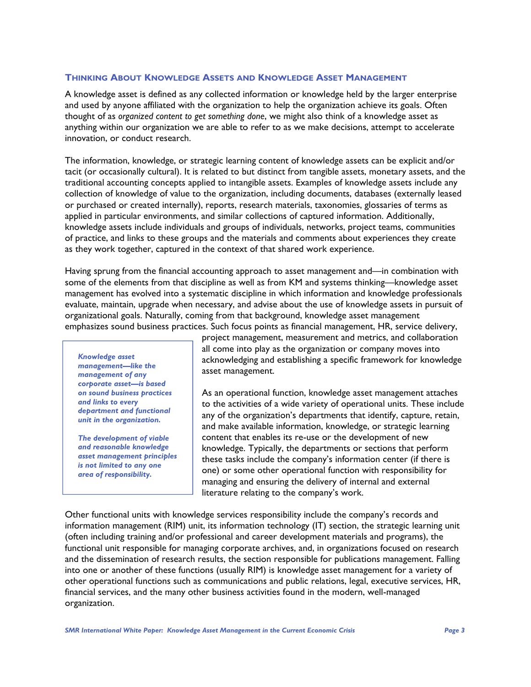# **THINKING ABOUT KNOWLEDGE ASSETS AND KNOWLEDGE ASSET MANAGEMENT**

A knowledge asset is defined as any collected information or knowledge held by the larger enterprise and used by anyone affiliated with the organization to help the organization achieve its goals. Often thought of as *organized content to get something done*, we might also think of a knowledge asset as anything within our organization we are able to refer to as we make decisions, attempt to accelerate innovation, or conduct research.

The information, knowledge, or strategic learning content of knowledge assets can be explicit and/or tacit (or occasionally cultural). It is related to but distinct from tangible assets, monetary assets, and the traditional accounting concepts applied to intangible assets. Examples of knowledge assets include any collection of knowledge of value to the organization, including documents, databases (externally leased or purchased or created internally), reports, research materials, taxonomies, glossaries of terms as applied in particular environments, and similar collections of captured information. Additionally, knowledge assets include individuals and groups of individuals, networks, project teams, communities of practice, and links to these groups and the materials and comments about experiences they create as they work together, captured in the context of that shared work experience.

Having sprung from the financial accounting approach to asset management and—in combination with some of the elements from that discipline as well as from KM and systems thinking—knowledge asset management has evolved into a systematic discipline in which information and knowledge professionals evaluate, maintain, upgrade when necessary, and advise about the use of knowledge assets in pursuit of organizational goals. Naturally, coming from that background, knowledge asset management emphasizes sound business practices. Such focus points as financial management, HR, service delivery,

*Knowledge asset management—like the management of any corporate asset—is based on sound business practices and links to every department and functional unit in the organization.* 

*The development of viable and reasonable knowledge asset management principles is not limited to any one area of responsibility.* 

project management, measurement and metrics, and collaboration all come into play as the organization or company moves into acknowledging and establishing a specific framework for knowledge asset management.

As an operational function, knowledge asset management attaches to the activities of a wide variety of operational units. These include any of the organization's departments that identify, capture, retain, and make available information, knowledge, or strategic learning content that enables its re-use or the development of new knowledge. Typically, the departments or sections that perform these tasks include the company's information center (if there is one) or some other operational function with responsibility for managing and ensuring the delivery of internal and external literature relating to the company's work.

Other functional units with knowledge services responsibility include the company's records and information management (RIM) unit, its information technology (IT) section, the strategic learning unit (often including training and/or professional and career development materials and programs), the functional unit responsible for managing corporate archives, and, in organizations focused on research and the dissemination of research results, the section responsible for publications management. Falling into one or another of these functions (usually RIM) is knowledge asset management for a variety of other operational functions such as communications and public relations, legal, executive services, HR, financial services, and the many other business activities found in the modern, well-managed organization.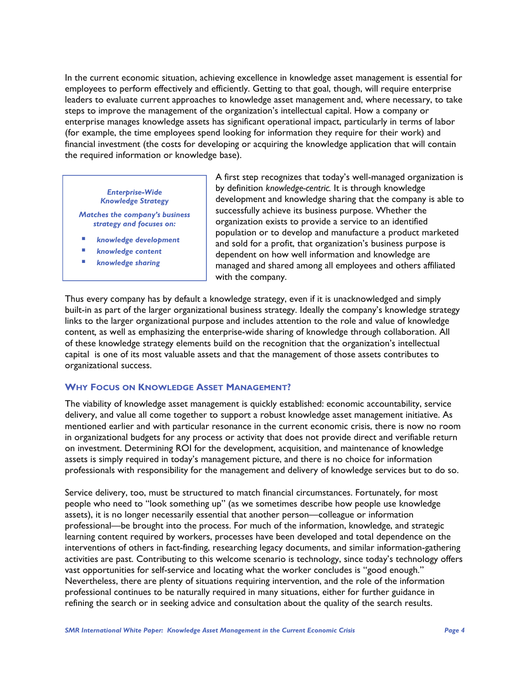In the current economic situation, achieving excellence in knowledge asset management is essential for employees to perform effectively and efficiently. Getting to that goal, though, will require enterprise leaders to evaluate current approaches to knowledge asset management and, where necessary, to take steps to improve the management of the organization's intellectual capital. How a company or enterprise manages knowledge assets has significant operational impact, particularly in terms of labor (for example, the time employees spend looking for information they require for their work) and financial investment (the costs for developing or acquiring the knowledge application that will contain the required information or knowledge base).

#### *Enterprise-Wide Knowledge Strategy*

*Matches the company's business strategy and focuses on:* 

- *knowledge development*
- *knowledge content*
- *knowledge sharing*

A first step recognizes that today's well-managed organization is by definition *knowledge-centric.* It is through knowledge development and knowledge sharing that the company is able to successfully achieve its business purpose. Whether the organization exists to provide a service to an identified population or to develop and manufacture a product marketed and sold for a profit, that organization's business purpose is dependent on how well information and knowledge are managed and shared among all employees and others affiliated with the company.

Thus every company has by default a knowledge strategy, even if it is unacknowledged and simply built-in as part of the larger organizational business strategy. Ideally the company's knowledge strategy links to the larger organizational purpose and includes attention to the role and value of knowledge content*,* as well as emphasizing the enterprise-wide sharing of knowledge through collaboration. All of these knowledge strategy elements build on the recognition that the organization's intellectual capital is one of its most valuable assets and that the management of those assets contributes to organizational success.

#### **WHY FOCUS ON KNOWLEDGE ASSET MANAGEMENT?**

The viability of knowledge asset management is quickly established: economic accountability, service delivery, and value all come together to support a robust knowledge asset management initiative. As mentioned earlier and with particular resonance in the current economic crisis, there is now no room in organizational budgets for any process or activity that does not provide direct and verifiable return on investment. Determining ROI for the development, acquisition, and maintenance of knowledge assets is simply required in today's management picture, and there is no choice for information professionals with responsibility for the management and delivery of knowledge services but to do so.

Service delivery, too, must be structured to match financial circumstances. Fortunately, for most people who need to "look something up" (as we sometimes describe how people use knowledge assets), it is no longer necessarily essential that another person—colleague or information professional—be brought into the process. For much of the information, knowledge, and strategic learning content required by workers, processes have been developed and total dependence on the interventions of others in fact-finding, researching legacy documents, and similar information-gathering activities are past. Contributing to this welcome scenario is technology, since today's technology offers vast opportunities for self-service and locating what the worker concludes is "good enough." Nevertheless, there are plenty of situations requiring intervention, and the role of the information professional continues to be naturally required in many situations, either for further guidance in refining the search or in seeking advice and consultation about the quality of the search results.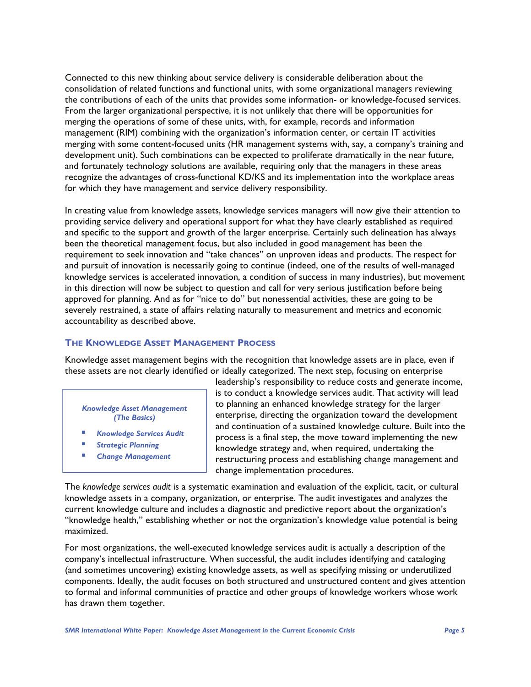Connected to this new thinking about service delivery is considerable deliberation about the consolidation of related functions and functional units, with some organizational managers reviewing the contributions of each of the units that provides some information- or knowledge-focused services. From the larger organizational perspective, it is not unlikely that there will be opportunities for merging the operations of some of these units, with, for example, records and information management (RIM) combining with the organization's information center, or certain IT activities merging with some content-focused units (HR management systems with, say, a company's training and development unit). Such combinations can be expected to proliferate dramatically in the near future, and fortunately technology solutions are available, requiring only that the managers in these areas recognize the advantages of cross-functional KD/KS and its implementation into the workplace areas for which they have management and service delivery responsibility.

In creating value from knowledge assets, knowledge services managers will now give their attention to providing service delivery and operational support for what they have clearly established as required and specific to the support and growth of the larger enterprise. Certainly such delineation has always been the theoretical management focus, but also included in good management has been the requirement to seek innovation and "take chances" on unproven ideas and products. The respect for and pursuit of innovation is necessarily going to continue (indeed, one of the results of well-managed knowledge services is accelerated innovation, a condition of success in many industries), but movement in this direction will now be subject to question and call for very serious justification before being approved for planning. And as for "nice to do" but nonessential activities, these are going to be severely restrained, a state of affairs relating naturally to measurement and metrics and economic accountability as described above.

# **THE KNOWLEDGE ASSET MANAGEMENT PROCESS**

Knowledge asset management begins with the recognition that knowledge assets are in place, even if these assets are not clearly identified or ideally categorized. The next step, focusing on enterprise

*Knowledge Asset Management (The Basics)* 

- *Knowledge Services Audit*
- *Strategic Planning*
- *Change Management*

leadership's responsibility to reduce costs and generate income, is to conduct a knowledge services audit. That activity will lead to planning an enhanced knowledge strategy for the larger enterprise, directing the organization toward the development and continuation of a sustained knowledge culture. Built into the process is a final step, the move toward implementing the new knowledge strategy and, when required, undertaking the restructuring process and establishing change management and change implementation procedures.

The *knowledge services audit* is a systematic examination and evaluation of the explicit, tacit, or cultural knowledge assets in a company, organization, or enterprise. The audit investigates and analyzes the current knowledge culture and includes a diagnostic and predictive report about the organization's "knowledge health," establishing whether or not the organization's knowledge value potential is being maximized.

For most organizations, the well-executed knowledge services audit is actually a description of the company's intellectual infrastructure. When successful, the audit includes identifying and cataloging (and sometimes uncovering) existing knowledge assets, as well as specifying missing or underutilized components. Ideally, the audit focuses on both structured and unstructured content and gives attention to formal and informal communities of practice and other groups of knowledge workers whose work has drawn them together.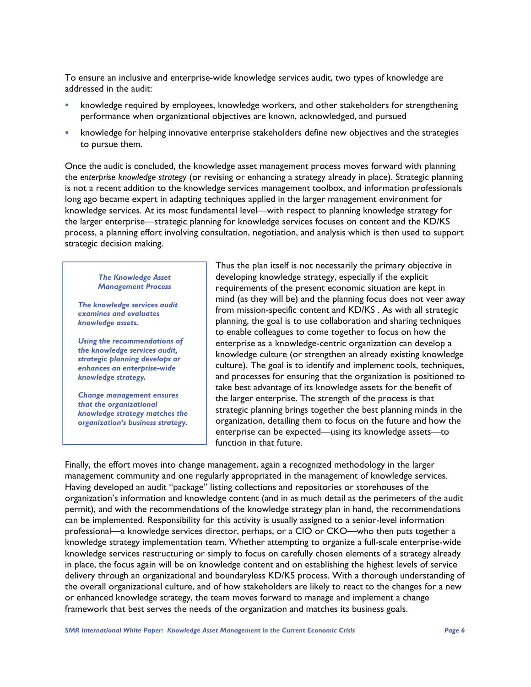To ensure an inclusive and enterprise-wide knowledge services audit, two types of knowledge are addressed in the audit:

- knowledge required by employees, knowledge workers, and other stakeholders for strengthening performance when organizational objectives are known, acknowledged, and pursued
- knowledge for helping innovative enterprise stakeholders define new objectives and the strategies to pursue them.

Once the audit is concluded, the knowledge asset management process moves forward with planning the *enterprise knowledge strategy* (or revising or enhancing a strategy already in place). Strategic planning is not a recent addition to the knowledge services management toolbox, and information professionals long ago became expert in adapting techniques applied in the larger management environment for knowledge services. At its most fundamental level—with respect to planning knowledge strategy for the larger enterprise—strategic planning for knowledge services focuses on content and the KD/KS process, a planning effort involving consultation, negotiation, and analysis which is then used to support strategic decision making.

#### *The Knowledge Asset Management Process*

*The knowledge services audit examines and evaluates knowledge assets.* 

*Using the recommendations of the knowledge services audit, strategic planning develops or enhances an enterprise-wide knowledge strategy.* 

*Change management ensures that the organizational knowledge strategy matches the organization's business strategy.* 

Thus the plan itself is not necessarily the primary objective in developing knowledge strategy, especially if the explicit requirements of the present economic situation are kept in mind (as they will be) and the planning focus does not veer away from mission-specific content and KD/KS . As with all strategic planning, the goal is to use collaboration and sharing techniques to enable colleagues to come together to focus on how the enterprise as a knowledge-centric organization can develop a knowledge culture (or strengthen an already existing knowledge culture). The goal is to identify and implement tools, techniques, and processes for ensuring that the organization is positioned to take best advantage of its knowledge assets for the benefit of the larger enterprise. The strength of the process is that strategic planning brings together the best planning minds in the organization, detailing them to focus on the future and how the enterprise can be expected—using its knowledge assets—to function in that future.

Finally, the effort moves into change management, again a recognized methodology in the larger management community and one regularly appropriated in the management of knowledge services. Having developed an audit "package" listing collections and repositories or storehouses of the organization's information and knowledge content (and in as much detail as the perimeters of the audit permit), and with the recommendations of the knowledge strategy plan in hand, the recommendations can be implemented. Responsibility for this activity is usually assigned to a senior-level information professional—a knowledge services director, perhaps, or a CIO or CKO—who then puts together a knowledge strategy implementation team. Whether attempting to organize a full-scale enterprise-wide knowledge services restructuring or simply to focus on carefully chosen elements of a strategy already in place, the focus again will be on knowledge content and on establishing the highest levels of service delivery through an organizational and boundaryless KD/KS process. With a thorough understanding of the overall organizational culture, and of how stakeholders are likely to react to the changes for a new or enhanced knowledge strategy, the team moves forward to manage and implement a change framework that best serves the needs of the organization and matches its business goals.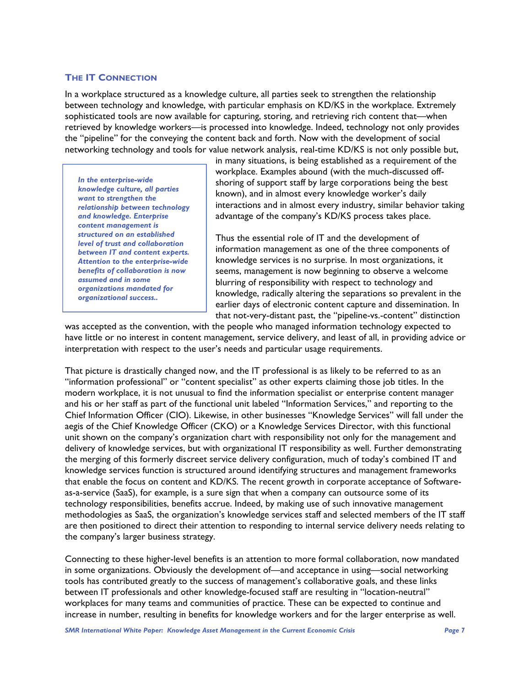## **THE IT CONNECTION**

In a workplace structured as a knowledge culture, all parties seek to strengthen the relationship between technology and knowledge, with particular emphasis on KD/KS in the workplace. Extremely sophisticated tools are now available for capturing, storing, and retrieving rich content that—when retrieved by knowledge workers—is processed into knowledge. Indeed, technology not only provides the "pipeline" for the conveying the content back and forth. Now with the development of social networking technology and tools for value network analysis, real-time KD/KS is not only possible but,

*In the enterprise-wide knowledge culture, all parties want to strengthen the relationship between technology and knowledge. Enterprise content management is structured on an established level of trust and collaboration between IT and content experts. Attention to the enterprise-wide benefits of collaboration is now assumed and in some organizations mandated for organizational success..*

in many situations, is being established as a requirement of the workplace. Examples abound (with the much-discussed offshoring of support staff by large corporations being the best known), and in almost every knowledge worker's daily interactions and in almost every industry, similar behavior taking advantage of the company's KD/KS process takes place.

Thus the essential role of IT and the development of information management as one of the three components of knowledge services is no surprise. In most organizations, it seems, management is now beginning to observe a welcome blurring of responsibility with respect to technology and knowledge, radically altering the separations so prevalent in the earlier days of electronic content capture and dissemination. In that not-very-distant past, the "pipeline-vs.-content" distinction

was accepted as the convention, with the people who managed information technology expected to have little or no interest in content management, service delivery, and least of all, in providing advice or interpretation with respect to the user's needs and particular usage requirements.

That picture is drastically changed now, and the IT professional is as likely to be referred to as an "information professional" or "content specialist" as other experts claiming those job titles. In the modern workplace, it is not unusual to find the information specialist or enterprise content manager and his or her staff as part of the functional unit labeled "Information Services," and reporting to the Chief Information Officer (CIO). Likewise, in other businesses "Knowledge Services" will fall under the aegis of the Chief Knowledge Officer (CKO) or a Knowledge Services Director, with this functional unit shown on the company's organization chart with responsibility not only for the management and delivery of knowledge services, but with organizational IT responsibility as well. Further demonstrating the merging of this formerly discreet service delivery configuration, much of today's combined IT and knowledge services function is structured around identifying structures and management frameworks that enable the focus on content and KD/KS. The recent growth in corporate acceptance of Softwareas-a-service (SaaS), for example, is a sure sign that when a company can outsource some of its technology responsibilities, benefits accrue. Indeed, by making use of such innovative management methodologies as SaaS, the organization's knowledge services staff and selected members of the IT staff are then positioned to direct their attention to responding to internal service delivery needs relating to the company's larger business strategy.

Connecting to these higher-level benefits is an attention to more formal collaboration, now mandated in some organizations. Obviously the development of—and acceptance in using—social networking tools has contributed greatly to the success of management's collaborative goals, and these links between IT professionals and other knowledge-focused staff are resulting in "location-neutral" workplaces for many teams and communities of practice. These can be expected to continue and increase in number, resulting in benefits for knowledge workers and for the larger enterprise as well.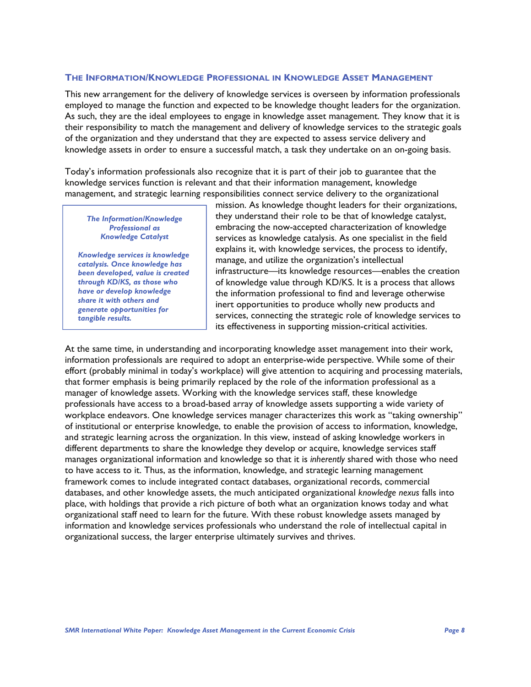### **THE INFORMATION/KNOWLEDGE PROFESSIONAL IN KNOWLEDGE ASSET MANAGEMENT**

This new arrangement for the delivery of knowledge services is overseen by information professionals employed to manage the function and expected to be knowledge thought leaders for the organization. As such, they are the ideal employees to engage in knowledge asset management. They know that it is their responsibility to match the management and delivery of knowledge services to the strategic goals of the organization and they understand that they are expected to assess service delivery and knowledge assets in order to ensure a successful match, a task they undertake on an on-going basis.

Today's information professionals also recognize that it is part of their job to guarantee that the knowledge services function is relevant and that their information management, knowledge management, and strategic learning responsibilities connect service delivery to the organizational

#### *The Information/Knowledge Professional as Knowledge Catalyst*

*Knowledge services is knowledge catalysis. Once knowledge has been developed, value is created through KD/KS, as those who have or develop knowledge share it with others and generate opportunities for tangible results.*

mission. As knowledge thought leaders for their organizations, they understand their role to be that of knowledge catalyst, embracing the now-accepted characterization of knowledge services as knowledge catalysis. As one specialist in the field explains it, with knowledge services, the process to identify, manage, and utilize the organization's intellectual infrastructure—its knowledge resources—enables the creation of knowledge value through KD/KS. It is a process that allows the information professional to find and leverage otherwise inert opportunities to produce wholly new products and services, connecting the strategic role of knowledge services to its effectiveness in supporting mission-critical activities.

At the same time, in understanding and incorporating knowledge asset management into their work, information professionals are required to adopt an enterprise-wide perspective. While some of their effort (probably minimal in today's workplace) will give attention to acquiring and processing materials, that former emphasis is being primarily replaced by the role of the information professional as a manager of knowledge assets. Working with the knowledge services staff, these knowledge professionals have access to a broad-based array of knowledge assets supporting a wide variety of workplace endeavors. One knowledge services manager characterizes this work as "taking ownership" of institutional or enterprise knowledge, to enable the provision of access to information, knowledge, and strategic learning across the organization. In this view, instead of asking knowledge workers in different departments to share the knowledge they develop or acquire, knowledge services staff manages organizational information and knowledge so that it is *inherently* shared with those who need to have access to it. Thus, as the information, knowledge, and strategic learning management framework comes to include integrated contact databases, organizational records, commercial databases, and other knowledge assets, the much anticipated organizational *knowledge nexus* falls into place, with holdings that provide a rich picture of both what an organization knows today and what organizational staff need to learn for the future. With these robust knowledge assets managed by information and knowledge services professionals who understand the role of intellectual capital in organizational success, the larger enterprise ultimately survives and thrives.